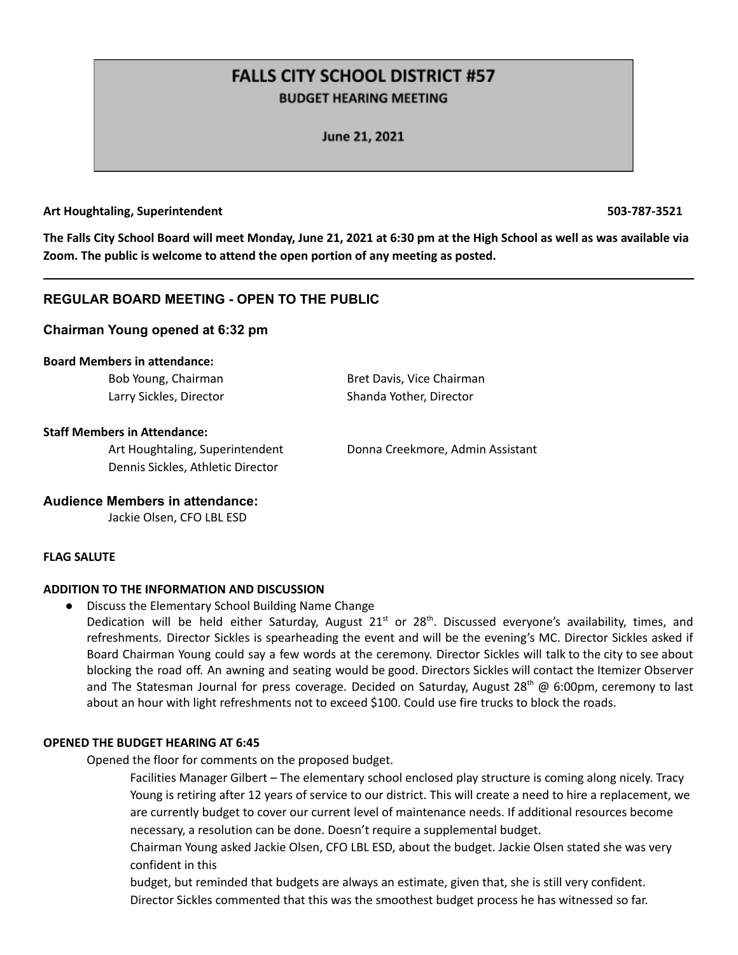# **FALLS CITY SCHOOL DISTRICT #57 BUDGET HEARING MEETING**

June 21, 2021

#### **Art Houghtaling, Superintendent 503-787-3521**

The Falls City School Board will meet Monday, June 21, 2021 at 6:30 pm at the High School as well as was available via **Zoom. The public is welcome to attend the open portion of any meeting as posted.**

# **REGULAR BOARD MEETING - OPEN TO THE PUBLIC**

#### **Chairman Young opened at 6:32 pm**

#### **Board Members in attendance:**

Bob Young, Chairman Bret Davis, Vice Chairman Larry Sickles, Director Shanda Yother, Director

#### **Staff Members in Attendance:**

Dennis Sickles, Athletic Director

Art Houghtaling, Superintendent Donna Creekmore, Admin Assistant

#### **Audience Members in attendance:**

Jackie Olsen, CFO LBL ESD

#### **FLAG SALUTE**

#### **ADDITION TO THE INFORMATION AND DISCUSSION**

● Discuss the Elementary School Building Name Change

Dedication will be held either Saturday, August 21<sup>st</sup> or 28<sup>th</sup>. Discussed everyone's availability, times, and refreshments. Director Sickles is spearheading the event and will be the evening's MC. Director Sickles asked if Board Chairman Young could say a few words at the ceremony. Director Sickles will talk to the city to see about blocking the road off. An awning and seating would be good. Directors Sickles will contact the Itemizer Observer and The Statesman Journal for press coverage. Decided on Saturday, August 28<sup>th</sup> @ 6:00pm, ceremony to last about an hour with light refreshments not to exceed \$100. Could use fire trucks to block the roads.

## **OPENED THE BUDGET HEARING AT 6:45**

Opened the floor for comments on the proposed budget.

Facilities Manager Gilbert – The elementary school enclosed play structure is coming along nicely. Tracy Young is retiring after 12 years of service to our district. This will create a need to hire a replacement, we are currently budget to cover our current level of maintenance needs. If additional resources become necessary, a resolution can be done. Doesn't require a supplemental budget.

Chairman Young asked Jackie Olsen, CFO LBL ESD, about the budget. Jackie Olsen stated she was very confident in this

budget, but reminded that budgets are always an estimate, given that, she is still very confident. Director Sickles commented that this was the smoothest budget process he has witnessed so far.